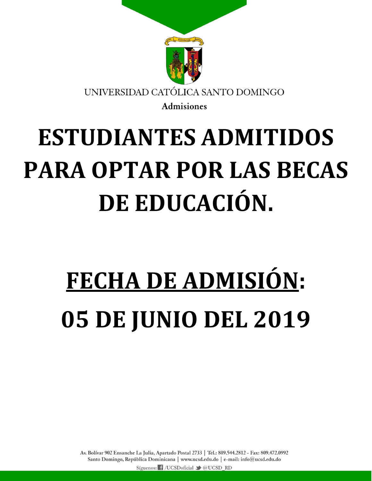

## **ESTUDIANTES ADMITIDOS PARA OPTAR POR LAS BECAS DE EDUCACIÓN.**

## **FECHA DE ADMISIÓN: 05 DE JUNIO DEL 2019**

Av. Bolívar 902 Ensanche La Julia, Apartado Postal 2733 | Tel.: 809.544.2812 - Fax: 809.472.0992 Santo Domingo, República Dominicana | www.ucsd.edu.do | e-mail: info@ucsd.edu.do Síguenos: f /UCSDoficial → @UCSD RD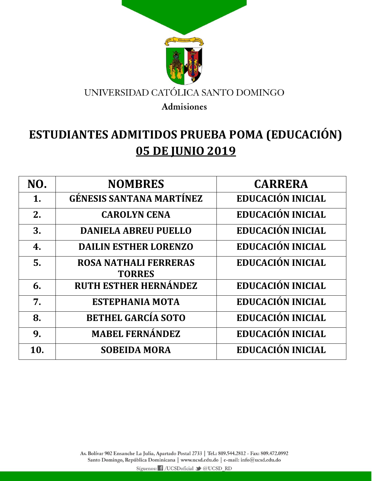

## **ESTUDIANTES ADMITIDOS PRUEBA POMA (EDUCACIÓN) 05 DE JUNIO 2019**

| NO. | <b>NOMBRES</b>                                | <b>CARRERA</b>           |
|-----|-----------------------------------------------|--------------------------|
| 1.  | <b>GÉNESIS SANTANA MARTÍNEZ</b>               | EDUCACIÓN INICIAL        |
| 2.  | <b>CAROLYN CENA</b>                           | <b>EDUCACIÓN INICIAL</b> |
| 3.  | <b>DANIELA ABREU PUELLO</b>                   | <b>EDUCACIÓN INICIAL</b> |
| 4.  | <b>DAILIN ESTHER LORENZO</b>                  | EDUCACIÓN INICIAL        |
| 5.  | <b>ROSA NATHALI FERRERAS</b><br><b>TORRES</b> | EDUCACIÓN INICIAL        |
| 6.  | <b>RUTH ESTHER HERNÁNDEZ</b>                  | <b>EDUCACIÓN INICIAL</b> |
| 7.  | <b>ESTEPHANIA MOTA</b>                        | <b>EDUCACIÓN INICIAL</b> |
| 8.  | <b>BETHEL GARCÍA SOTO</b>                     | <b>EDUCACIÓN INICIAL</b> |
| 9.  | <b>MABEL FERNÁNDEZ</b>                        | <b>EDUCACIÓN INICIAL</b> |
| 10. | <b>SOBEIDA MORA</b>                           | <b>EDUCACIÓN INICIAL</b> |

Av. Bolívar 902 Ensanche La Julia, Apartado Postal 2733 | Tel.: 809.544.2812 - Fax: 809.472.0992 Santo Domingo, República Dominicana | www.ucsd.edu.do | e-mail: info@ucsd.edu.do

Síguenos: i /UCSDoficial v @UCSD\_RD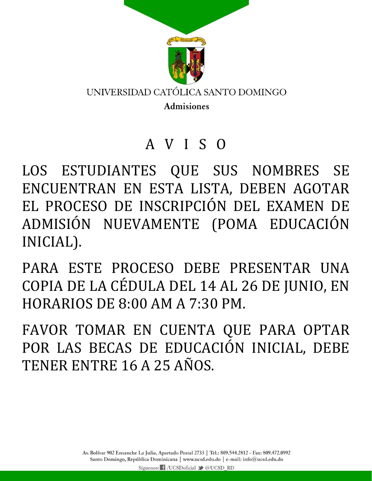

## A V I S O

LOS ESTUDIANTES QUE SUS NOMBRES SE ENCUENTRAN EN ESTA LISTA, DEBEN AGOTAR EL PROCESO DE INSCRIPCIÓN DEL EXAMEN DE ADMISIÓN NUEVAMENTE (POMA EDUCACIÓN INICIAL).

PARA ESTE PROCESO DEBE PRESENTAR UNA COPIA DE LA CÉDULA DEL 14 AL 26 DE JUNIO, EN HORARIOS DE 8:00 AM A 7:30 PM.

FAVOR TOMAR EN CUENTA QUE PARA OPTAR POR LAS BECAS DE EDUCACIÓN INICIAL, DEBE TENER ENTRE 16 A 25 AÑOS.

> Av. Bolívar 902 Ensanche La Julia, Apartado Postal 2733 | Tel.: 809.544.2812 - Fax: 809.472.0992 Santo Domingo, República Dominicana | www.ucsd.edu.do | e-mail: info@ucsd.edu.do